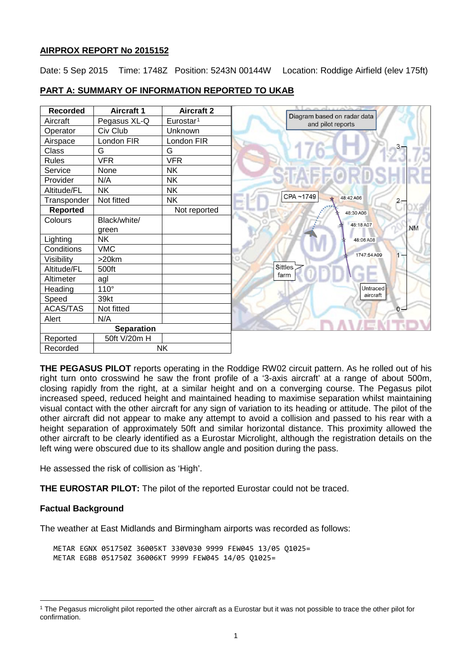# **AIRPROX REPORT No 2015152**

Date: 5 Sep 2015 Time: 1748Z Position: 5243N 00144W Location: Roddige Airfield (elev 175ft)

| <b>Recorded</b>   | <b>Aircraft 1</b> | <b>Aircraft 2</b>     |                                                  |
|-------------------|-------------------|-----------------------|--------------------------------------------------|
| Aircraft          | Pegasus XL-Q      | Eurostar <sup>1</sup> | Diagram based on radar data<br>and pilot reports |
| Operator          | Civ Club          | Unknown               |                                                  |
| Airspace          | London FIR        | London FIR            |                                                  |
| <b>Class</b>      | G                 | G                     |                                                  |
| <b>Rules</b>      | <b>VFR</b>        | <b>VFR</b>            |                                                  |
| Service           | None              | <b>NK</b>             |                                                  |
| Provider          | N/A               | <b>NK</b>             |                                                  |
| Altitude/FL       | <b>NK</b>         | <b>NK</b>             |                                                  |
| Transponder       | Not fitted        | <b>NK</b>             | CPA~1749<br>48:42 A06<br>$\overline{c}$          |
| <b>Reported</b>   |                   | Not reported          | 48:30 A06                                        |
| Colours           | Black/white/      |                       | 48:18 A07                                        |
|                   | green             |                       | <b>NM</b>                                        |
| Lighting          | <b>NK</b>         |                       | 48:06 A08                                        |
| Conditions        | <b>VMC</b>        |                       | 1747:54A09                                       |
| Visibility        | $>20$ km          |                       | 1                                                |
| Altitude/FL       | 500ft             |                       | <b>Sittles</b>                                   |
| Altimeter         | agl               |                       | farm                                             |
| Heading           | $110^\circ$       |                       | Untraced                                         |
| Speed             | 39kt              |                       | aircraft                                         |
| ACAS/TAS          | Not fitted        |                       | $0 -$                                            |
| Alert             | N/A               |                       |                                                  |
| <b>Separation</b> |                   |                       |                                                  |
| Reported          | 50ft V/20m H      |                       |                                                  |
| Recorded          | <b>NK</b>         |                       |                                                  |

# **PART A: SUMMARY OF INFORMATION REPORTED TO UKAB**

**THE PEGASUS PILOT** reports operating in the Roddige RW02 circuit pattern. As he rolled out of his right turn onto crosswind he saw the front profile of a '3-axis aircraft' at a range of about 500m, closing rapidly from the right, at a similar height and on a converging course. The Pegasus pilot increased speed, reduced height and maintained heading to maximise separation whilst maintaining visual contact with the other aircraft for any sign of variation to its heading or attitude. The pilot of the other aircraft did not appear to make any attempt to avoid a collision and passed to his rear with a height separation of approximately 50ft and similar horizontal distance. This proximity allowed the other aircraft to be clearly identified as a Eurostar Microlight, although the registration details on the left wing were obscured due to its shallow angle and position during the pass.

He assessed the risk of collision as 'High'.

**THE EUROSTAR PILOT:** The pilot of the reported Eurostar could not be traced.

# **Factual Background**

l

The weather at East Midlands and Birmingham airports was recorded as follows:

METAR EGNX 051750Z 36005KT 330V030 9999 FEW045 13/05 Q1025= METAR EGBB 051750Z 36006KT 9999 FEW045 14/05 Q1025=

<span id="page-0-0"></span><sup>1</sup> The Pegasus microlight pilot reported the other aircraft as a Eurostar but it was not possible to trace the other pilot for confirmation.